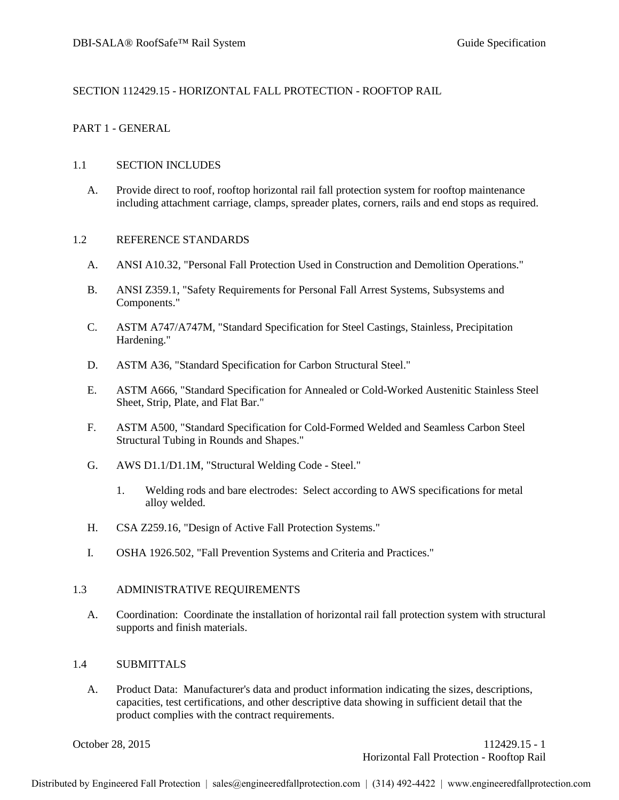#### SECTION 112429.15 - HORIZONTAL FALL PROTECTION - ROOFTOP RAIL

#### PART 1 - GENERAL

#### 1.1 SECTION INCLUDES

A. Provide direct to roof, rooftop horizontal rail fall protection system for rooftop maintenance including attachment carriage, clamps, spreader plates, corners, rails and end stops as required.

#### 1.2 REFERENCE STANDARDS

- A. ANSI A10.32, "Personal Fall Protection Used in Construction and Demolition Operations."
- B. ANSI Z359.1, "Safety Requirements for Personal Fall Arrest Systems, Subsystems and Components."
- C. ASTM A747/A747M, "Standard Specification for Steel Castings, Stainless, Precipitation Hardening."
- D. ASTM A36, "Standard Specification for Carbon Structural Steel."
- E. ASTM A666, "Standard Specification for Annealed or Cold-Worked Austenitic Stainless Steel Sheet, Strip, Plate, and Flat Bar."
- F. ASTM A500, "Standard Specification for Cold-Formed Welded and Seamless Carbon Steel Structural Tubing in Rounds and Shapes."
- G. AWS D1.1/D1.1M, "Structural Welding Code Steel."
	- 1. Welding rods and bare electrodes: Select according to AWS specifications for metal alloy welded.
- H. CSA Z259.16, "Design of Active Fall Protection Systems."
- I. OSHA 1926.502, "Fall Prevention Systems and Criteria and Practices."

#### 1.3 ADMINISTRATIVE REQUIREMENTS

A. Coordination: Coordinate the installation of horizontal rail fall protection system with structural supports and finish materials.

#### 1.4 SUBMITTALS

A. Product Data: Manufacturer's data and product information indicating the sizes, descriptions, capacities, test certifications, and other descriptive data showing in sufficient detail that the product complies with the contract requirements.

October 28, 2015 112429.15 - 1 Horizontal Fall Protection - Rooftop Rail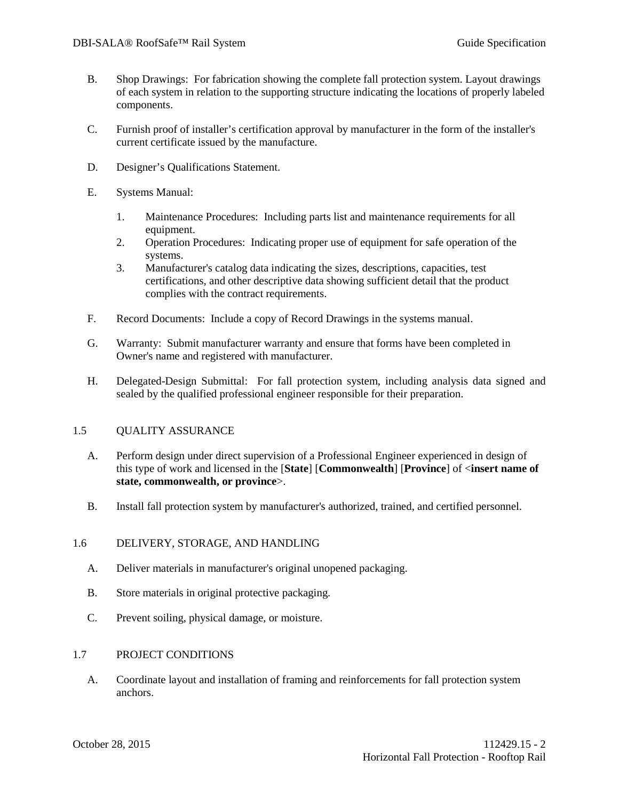- B. Shop Drawings: For fabrication showing the complete fall protection system. Layout drawings of each system in relation to the supporting structure indicating the locations of properly labeled components.
- C. Furnish proof of installer's certification approval by manufacturer in the form of the installer's current certificate issued by the manufacture.
- D. Designer's Qualifications Statement.
- E. Systems Manual:
	- 1. Maintenance Procedures: Including parts list and maintenance requirements for all equipment.
	- 2. Operation Procedures: Indicating proper use of equipment for safe operation of the systems.
	- 3. Manufacturer's catalog data indicating the sizes, descriptions, capacities, test certifications, and other descriptive data showing sufficient detail that the product complies with the contract requirements.
- F. Record Documents: Include a copy of Record Drawings in the systems manual.
- G. Warranty: Submit manufacturer warranty and ensure that forms have been completed in Owner's name and registered with manufacturer.
- H. Delegated-Design Submittal: For fall protection system, including analysis data signed and sealed by the qualified professional engineer responsible for their preparation.

## 1.5 QUALITY ASSURANCE

- A. Perform design under direct supervision of a Professional Engineer experienced in design of this type of work and licensed in the [**State**] [**Commonwealth**] [**Province**] of <**insert name of state, commonwealth, or province**>.
- B. Install fall protection system by manufacturer's authorized, trained, and certified personnel.

## 1.6 DELIVERY, STORAGE, AND HANDLING

- A. Deliver materials in manufacturer's original unopened packaging.
- B. Store materials in original protective packaging.
- C. Prevent soiling, physical damage, or moisture.

## 1.7 PROJECT CONDITIONS

A. Coordinate layout and installation of framing and reinforcements for fall protection system anchors.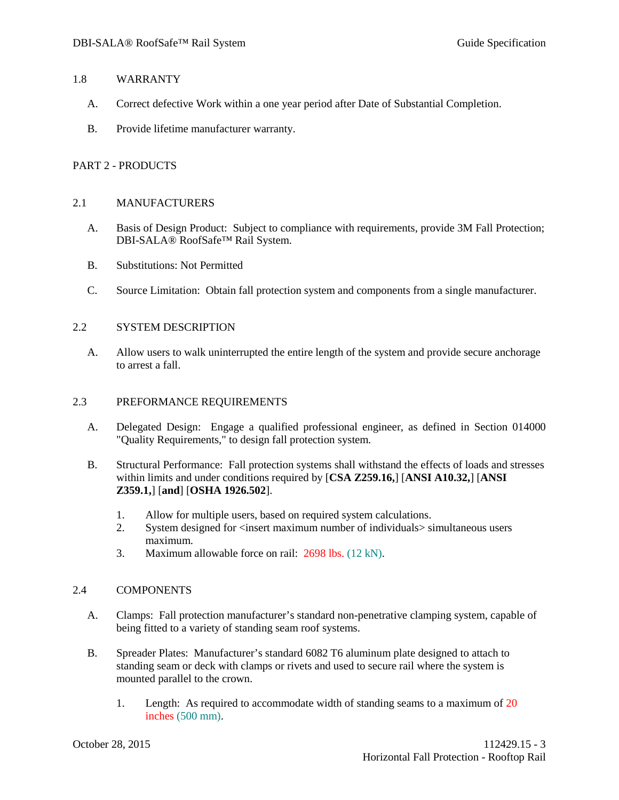#### 1.8 WARRANTY

- A. Correct defective Work within a one year period after Date of Substantial Completion.
- B. Provide lifetime manufacturer warranty.

# PART 2 - PRODUCTS

## 2.1 MANUFACTURERS

- A. Basis of Design Product: Subject to compliance with requirements, provide 3M Fall Protection; DBI-SALA® RoofSafe™ Rail System.
- B. Substitutions: Not Permitted
- C. Source Limitation: Obtain fall protection system and components from a single manufacturer.

# 2.2 SYSTEM DESCRIPTION

A. Allow users to walk uninterrupted the entire length of the system and provide secure anchorage to arrest a fall.

## 2.3 PREFORMANCE REQUIREMENTS

- A. Delegated Design: Engage a qualified professional engineer, as defined in Section 014000 "Quality Requirements," to design fall protection system.
- B. Structural Performance: Fall protection systems shall withstand the effects of loads and stresses within limits and under conditions required by [**CSA Z259.16,**] [**ANSI A10.32,**] [**ANSI Z359.1,**] [**and**] [**OSHA 1926.502**].
	- 1. Allow for multiple users, based on required system calculations.
	- 2. System designed for <insert maximum number of individuals> simultaneous users maximum.
	- 3. Maximum allowable force on rail: 2698 lbs. (12 kN).

## 2.4 COMPONENTS

- A. Clamps: Fall protection manufacturer's standard non-penetrative clamping system, capable of being fitted to a variety of standing seam roof systems.
- B. Spreader Plates: Manufacturer's standard 6082 T6 aluminum plate designed to attach to standing seam or deck with clamps or rivets and used to secure rail where the system is mounted parallel to the crown.
	- 1. Length: As required to accommodate width of standing seams to a maximum of 20 inches (500 mm).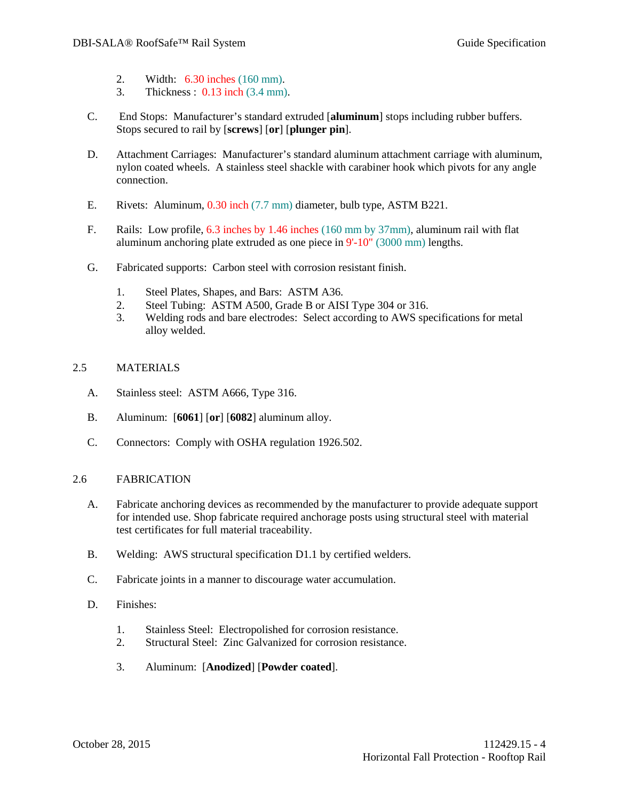- 2. Width: 6.30 inches (160 mm).
- 3. Thickness : 0.13 inch (3.4 mm).
- C. End Stops: Manufacturer's standard extruded [**aluminum**] stops including rubber buffers. Stops secured to rail by [**screws**] [**or**] [**plunger pin**].
- D. Attachment Carriages: Manufacturer's standard aluminum attachment carriage with aluminum, nylon coated wheels. A stainless steel shackle with carabiner hook which pivots for any angle connection.
- E. Rivets: Aluminum, 0.30 inch (7.7 mm) diameter, bulb type, ASTM B221.
- F. Rails: Low profile, 6.3 inches by 1.46 inches (160 mm by 37mm), aluminum rail with flat aluminum anchoring plate extruded as one piece in 9'-10" (3000 mm) lengths.
- G. Fabricated supports: Carbon steel with corrosion resistant finish.
	- 1. Steel Plates, Shapes, and Bars: ASTM A36.
	- 2. Steel Tubing: ASTM A500, Grade B or AISI Type 304 or 316.
	- 3. Welding rods and bare electrodes: Select according to AWS specifications for metal alloy welded.

# 2.5 MATERIALS

- A. Stainless steel: ASTM A666, Type 316.
- B. Aluminum: [**6061**] [**or**] [**6082**] aluminum alloy.
- C. Connectors: Comply with OSHA regulation 1926.502.

## 2.6 FABRICATION

- A. Fabricate anchoring devices as recommended by the manufacturer to provide adequate support for intended use. Shop fabricate required anchorage posts using structural steel with material test certificates for full material traceability.
- B. Welding: AWS structural specification D1.1 by certified welders.
- C. Fabricate joints in a manner to discourage water accumulation.
- D. Finishes:
	- 1. Stainless Steel: Electropolished for corrosion resistance.
	- 2. Structural Steel: Zinc Galvanized for corrosion resistance.
	- 3. Aluminum: [**Anodized**] [**Powder coated**].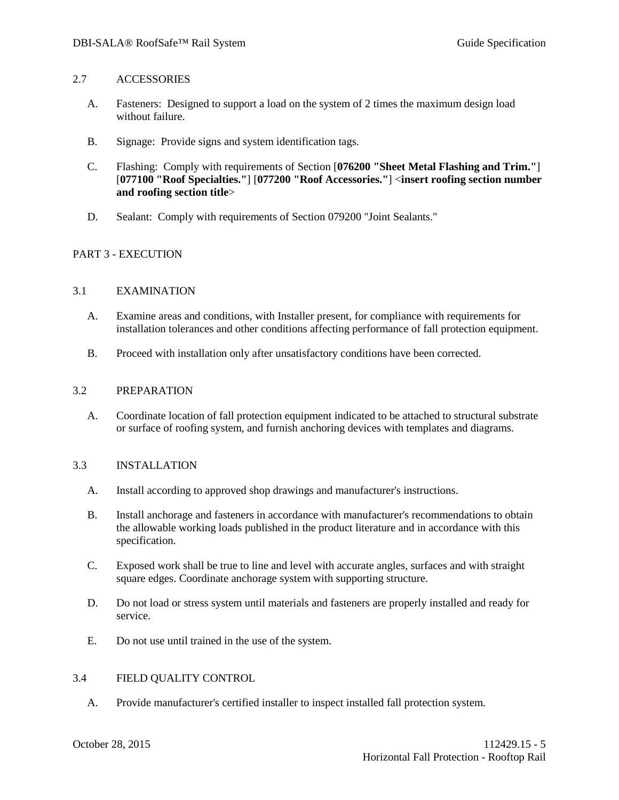#### 2.7 ACCESSORIES

- A. Fasteners: Designed to support a load on the system of 2 times the maximum design load without failure.
- B. Signage: Provide signs and system identification tags.
- C. Flashing: Comply with requirements of Section [**076200 "Sheet Metal Flashing and Trim."**] [**077100 "Roof Specialties."**] [**077200 "Roof Accessories."**] <**insert roofing section number and roofing section title**>
- D. Sealant: Comply with requirements of Section 079200 "Joint Sealants."

# PART 3 - EXECUTION

## 3.1 EXAMINATION

- A. Examine areas and conditions, with Installer present, for compliance with requirements for installation tolerances and other conditions affecting performance of fall protection equipment.
- B. Proceed with installation only after unsatisfactory conditions have been corrected.

#### 3.2 PREPARATION

A. Coordinate location of fall protection equipment indicated to be attached to structural substrate or surface of roofing system, and furnish anchoring devices with templates and diagrams.

## 3.3 INSTALLATION

- A. Install according to approved shop drawings and manufacturer's instructions.
- B. Install anchorage and fasteners in accordance with manufacturer's recommendations to obtain the allowable working loads published in the product literature and in accordance with this specification.
- C. Exposed work shall be true to line and level with accurate angles, surfaces and with straight square edges. Coordinate anchorage system with supporting structure.
- D. Do not load or stress system until materials and fasteners are properly installed and ready for service.
- E. Do not use until trained in the use of the system.

## 3.4 FIELD QUALITY CONTROL

A. Provide manufacturer's certified installer to inspect installed fall protection system.